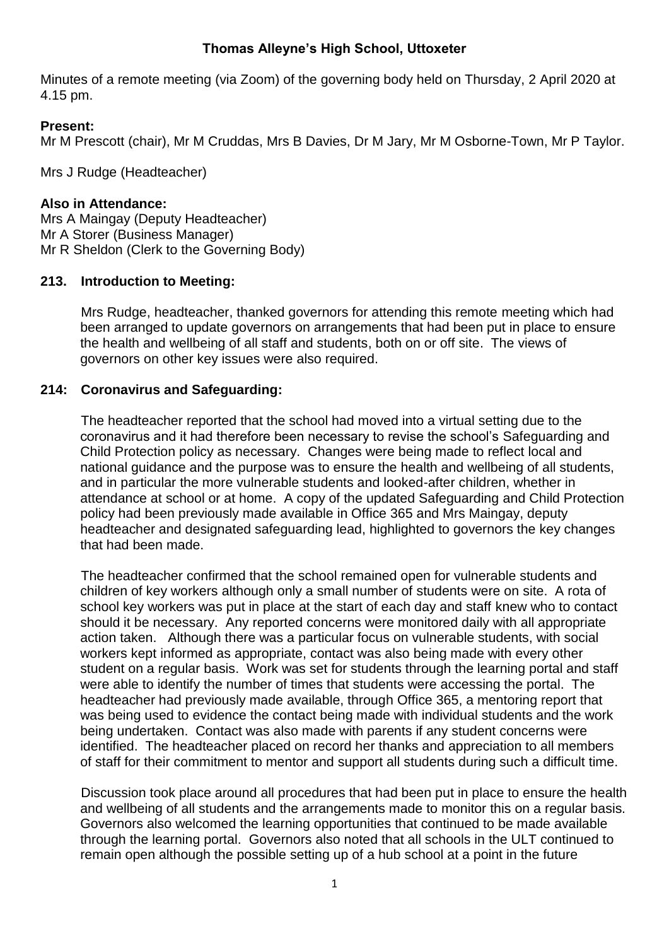## **Thomas Alleyne's High School, Uttoxeter**

Minutes of a remote meeting (via Zoom) of the governing body held on Thursday, 2 April 2020 at 4.15 pm.

## **Present:**

Mr M Prescott (chair), Mr M Cruddas, Mrs B Davies, Dr M Jary, Mr M Osborne-Town, Mr P Taylor.

Mrs J Rudge (Headteacher)

## **Also in Attendance:**

Mrs A Maingay (Deputy Headteacher) Mr A Storer (Business Manager) Mr R Sheldon (Clerk to the Governing Body)

## **213. Introduction to Meeting:**

Mrs Rudge, headteacher, thanked governors for attending this remote meeting which had been arranged to update governors on arrangements that had been put in place to ensure the health and wellbeing of all staff and students, both on or off site. The views of governors on other key issues were also required.

## **214: Coronavirus and Safeguarding:**

The headteacher reported that the school had moved into a virtual setting due to the coronavirus and it had therefore been necessary to revise the school's Safeguarding and Child Protection policy as necessary. Changes were being made to reflect local and national guidance and the purpose was to ensure the health and wellbeing of all students, and in particular the more vulnerable students and looked-after children, whether in attendance at school or at home. A copy of the updated Safeguarding and Child Protection policy had been previously made available in Office 365 and Mrs Maingay, deputy headteacher and designated safeguarding lead, highlighted to governors the key changes that had been made.

The headteacher confirmed that the school remained open for vulnerable students and children of key workers although only a small number of students were on site. A rota of school key workers was put in place at the start of each day and staff knew who to contact should it be necessary. Any reported concerns were monitored daily with all appropriate action taken. Although there was a particular focus on vulnerable students, with social workers kept informed as appropriate, contact was also being made with every other student on a regular basis. Work was set for students through the learning portal and staff were able to identify the number of times that students were accessing the portal. The headteacher had previously made available, through Office 365, a mentoring report that was being used to evidence the contact being made with individual students and the work being undertaken. Contact was also made with parents if any student concerns were identified. The headteacher placed on record her thanks and appreciation to all members of staff for their commitment to mentor and support all students during such a difficult time.

Discussion took place around all procedures that had been put in place to ensure the health and wellbeing of all students and the arrangements made to monitor this on a regular basis. Governors also welcomed the learning opportunities that continued to be made available through the learning portal. Governors also noted that all schools in the ULT continued to remain open although the possible setting up of a hub school at a point in the future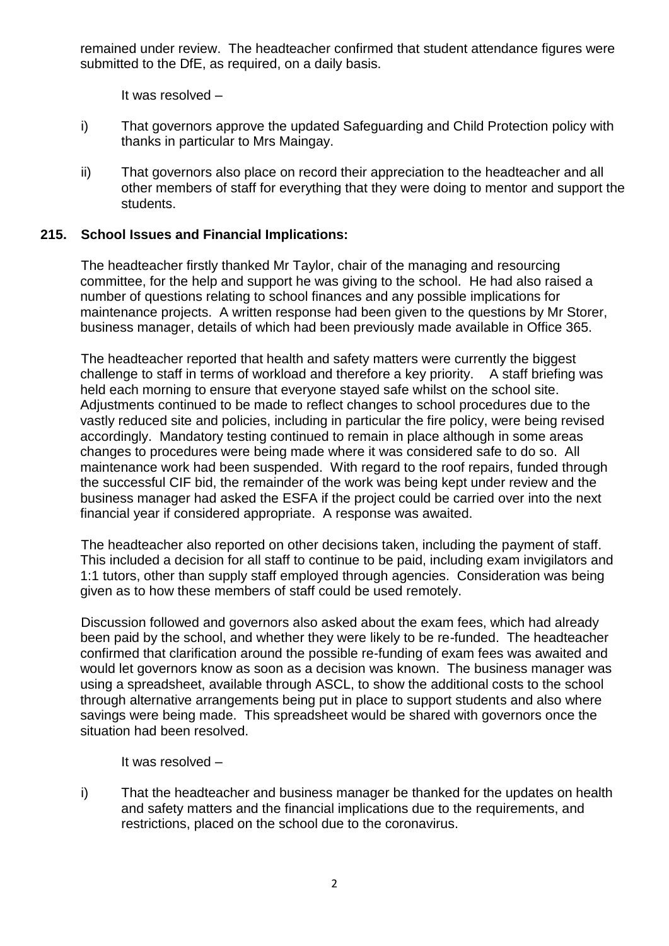remained under review. The headteacher confirmed that student attendance figures were submitted to the DfE, as required, on a daily basis.

It was resolved –

- i) That governors approve the updated Safeguarding and Child Protection policy with thanks in particular to Mrs Maingay.
- ii) That governors also place on record their appreciation to the headteacher and all other members of staff for everything that they were doing to mentor and support the students.

## **215. School Issues and Financial Implications:**

The headteacher firstly thanked Mr Taylor, chair of the managing and resourcing committee, for the help and support he was giving to the school. He had also raised a number of questions relating to school finances and any possible implications for maintenance projects. A written response had been given to the questions by Mr Storer, business manager, details of which had been previously made available in Office 365.

The headteacher reported that health and safety matters were currently the biggest challenge to staff in terms of workload and therefore a key priority. A staff briefing was held each morning to ensure that everyone stayed safe whilst on the school site. Adjustments continued to be made to reflect changes to school procedures due to the vastly reduced site and policies, including in particular the fire policy, were being revised accordingly. Mandatory testing continued to remain in place although in some areas changes to procedures were being made where it was considered safe to do so. All maintenance work had been suspended. With regard to the roof repairs, funded through the successful CIF bid, the remainder of the work was being kept under review and the business manager had asked the ESFA if the project could be carried over into the next financial year if considered appropriate. A response was awaited.

The headteacher also reported on other decisions taken, including the payment of staff. This included a decision for all staff to continue to be paid, including exam invigilators and 1:1 tutors, other than supply staff employed through agencies. Consideration was being given as to how these members of staff could be used remotely.

Discussion followed and governors also asked about the exam fees, which had already been paid by the school, and whether they were likely to be re-funded. The headteacher confirmed that clarification around the possible re-funding of exam fees was awaited and would let governors know as soon as a decision was known. The business manager was using a spreadsheet, available through ASCL, to show the additional costs to the school through alternative arrangements being put in place to support students and also where savings were being made. This spreadsheet would be shared with governors once the situation had been resolved.

It was resolved –

i) That the headteacher and business manager be thanked for the updates on health and safety matters and the financial implications due to the requirements, and restrictions, placed on the school due to the coronavirus.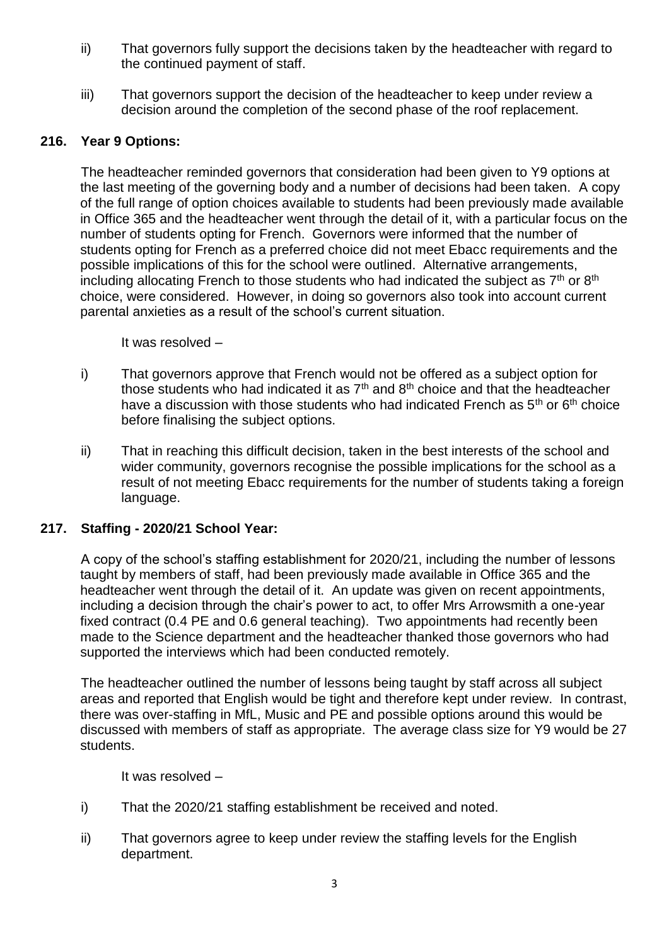- ii) That governors fully support the decisions taken by the headteacher with regard to the continued payment of staff.
- iii) That governors support the decision of the headteacher to keep under review a decision around the completion of the second phase of the roof replacement.

# **216. Year 9 Options:**

The headteacher reminded governors that consideration had been given to Y9 options at the last meeting of the governing body and a number of decisions had been taken. A copy of the full range of option choices available to students had been previously made available in Office 365 and the headteacher went through the detail of it, with a particular focus on the number of students opting for French. Governors were informed that the number of students opting for French as a preferred choice did not meet Ebacc requirements and the possible implications of this for the school were outlined. Alternative arrangements, including allocating French to those students who had indicated the subject as  $7<sup>th</sup>$  or  $8<sup>th</sup>$ choice, were considered. However, in doing so governors also took into account current parental anxieties as a result of the school's current situation.

It was resolved –

- i) That governors approve that French would not be offered as a subject option for those students who had indicated it as  $7<sup>th</sup>$  and  $8<sup>th</sup>$  choice and that the headteacher have a discussion with those students who had indicated French as  $5<sup>th</sup>$  or  $6<sup>th</sup>$  choice before finalising the subject options.
- ii) That in reaching this difficult decision, taken in the best interests of the school and wider community, governors recognise the possible implications for the school as a result of not meeting Ebacc requirements for the number of students taking a foreign language.

#### **217. Staffing - 2020/21 School Year:**

A copy of the school's staffing establishment for 2020/21, including the number of lessons taught by members of staff, had been previously made available in Office 365 and the headteacher went through the detail of it. An update was given on recent appointments, including a decision through the chair's power to act, to offer Mrs Arrowsmith a one-year fixed contract (0.4 PE and 0.6 general teaching). Two appointments had recently been made to the Science department and the headteacher thanked those governors who had supported the interviews which had been conducted remotely.

The headteacher outlined the number of lessons being taught by staff across all subject areas and reported that English would be tight and therefore kept under review. In contrast, there was over-staffing in MfL, Music and PE and possible options around this would be discussed with members of staff as appropriate. The average class size for Y9 would be 27 students.

It was resolved –

- i) That the 2020/21 staffing establishment be received and noted.
- ii) That governors agree to keep under review the staffing levels for the English department.